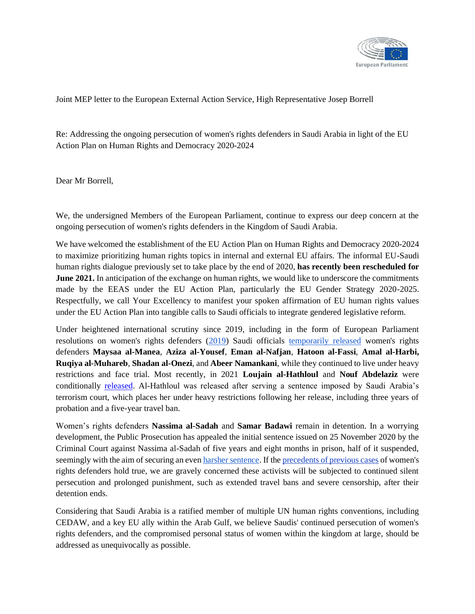

## Joint MEP letter to the European External Action Service, High Representative Josep Borrell

Re: Addressing the ongoing persecution of women's rights defenders in Saudi Arabia in light of the EU Action Plan on Human Rights and Democracy 2020-2024

Dear Mr Borrell,

We, the undersigned Members of the European Parliament, continue to express our deep concern at the ongoing persecution of women's rights defenders in the Kingdom of Saudi Arabia.

We have welcomed the establishment of the EU Action Plan on Human Rights and Democracy 2020-2024 to maximize prioritizing human rights topics in internal and external EU affairs. The informal EU-Saudi human rights dialogue previously set to take place by the end of 2020, **has recently been rescheduled for June 2021.** In anticipation of the exchange on human rights, we would like to underscore the commitments made by the EEAS under the EU Action Plan, particularly the EU Gender Strategy 2020-2025. Respectfully, we call Your Excellency to manifest your spoken affirmation of EU human rights values under the EU Action Plan into tangible calls to Saudi officials to integrate gendered legislative reform.

Under heightened international scrutiny since 2019, including in the form of European Parliament resolutions on women's rights defenders [\(2019\)](https://www.europarl.europa.eu/doceo/document/TA-8-2019-0117_EN.html) Saudi officials [temporarily released](http://alqst.org/uploads/Abuses-Under-Scrutiny-En.pdf) women's rights defenders **Maysaa al-Manea**, **Aziza al-Yousef**, **Eman al-Nafjan**, **Hatoon al-Fassi**, **Amal al-Harbi, Ruqiya al-Muhareb**, **Shadan al-Onezi**, and **Abeer Namankani**, while they continued to live under heavy restrictions and face trial. Most recently, in 2021 **Loujain al-Hathloul** and **Nouf Abdelaziz** were conditionally [released.](https://alqst.org/en/post/two-women-human-rights-defenders-conditionally-released-while-others-still-face-trial) Al-Hathloul was released after serving a sentence imposed by Saudi Arabia's terrorism court, which places her under heavy restrictions following her release, including three years of probation and a five-year travel ban.

Women's rights defenders **Nassima al-Sadah** and **Samar Badawi** remain in detention. In a worrying development, the Public Prosecution has appealed the initial sentence issued on 25 November 2020 by the Criminal Court against Nassima al-Sadah of five years and eight months in prison, half of it suspended, seemingly with the aim of securing an eve[n harsher sentence.](https://alqst.org/en/post/two-women-human-rights-defenders-conditionally-released-while-others-still-face-trial) If th[e](https://www.fidh.org/en/issues/human-rights-defenders/saudi-arabia-sentencing-of-loujain-al-hathloul-and-mayaa-al-zahrani) [precedents of previous cases](https://www.fidh.org/en/issues/human-rights-defenders/saudi-arabia-sentencing-of-loujain-al-hathloul-and-mayaa-al-zahrani) of women's rights defenders hold true, we are gravely concerned these activists will be subjected to continued silent persecution and prolonged punishment, such as extended travel bans and severe censorship, after their detention ends.

Considering that Saudi Arabia is a ratified member of multiple UN human rights conventions, including CEDAW, and a key EU ally within the Arab Gulf, we believe Saudis' continued persecution of women's rights defenders, and the compromised personal status of women within the kingdom at large, should be addressed as unequivocally as possible.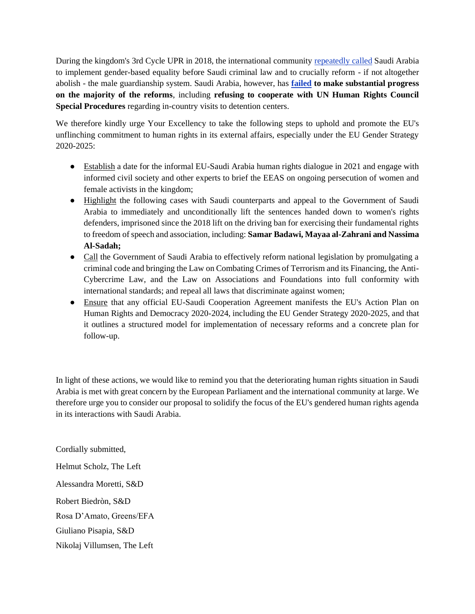During the kingdom's 3rd Cycle UPR in 2018, the international communit[y](https://documents-dds-ny.un.org/doc/UNDOC/GEN/G18/446/49/PDF/G1844649.pdf?OpenElement) [repeatedly called](https://documents-dds-ny.un.org/doc/UNDOC/GEN/G18/446/49/PDF/G1844649.pdf?OpenElement) Saudi Arabia to implement gender-based equality before Saudi criminal law and to crucially reform - if not altogether abolish - the male guardianship system. Saudi Arabia, however, ha[s](https://fngeneve.um.dk/en/news/newsdisplaypage/?newsID=F80A37C6-260F-46F9-B4A6-30D07198D2F8) **[failed](https://fngeneve.um.dk/en/news/newsdisplaypage/?newsID=F80A37C6-260F-46F9-B4A6-30D07198D2F8) to make substantial progress on the majority of the reforms**, including **refusing to cooperate with UN Human Rights Council Special Procedures** regarding in-country visits to detention centers.

We therefore kindly urge Your Excellency to take the following steps to uphold and promote the EU's unflinching commitment to human rights in its external affairs, especially under the EU Gender Strategy 2020-2025:

- Establish a date for the informal EU-Saudi Arabia human rights dialogue in 2021 and engage with informed civil society and other experts to brief the EEAS on ongoing persecution of women and female activists in the kingdom;
- Highlight the following cases with Saudi counterparts and appeal to the Government of Saudi Arabia to immediately and unconditionally lift the sentences handed down to women's rights defenders, imprisoned since the 2018 lift on the driving ban for exercising their fundamental rights to freedom of speech and association, including: **Samar Badawi, Mayaa al-Zahrani and Nassima Al-Sadah;**
- Call the Government of Saudi Arabia to effectively reform national legislation by promulgating a criminal code and bringing the Law on Combating Crimes of Terrorism and its Financing, the Anti-Cybercrime Law, and the Law on Associations and Foundations into full conformity with international standards; and repeal all laws that discriminate against women;
- Ensure that any official EU-Saudi Cooperation Agreement manifests the EU's Action Plan on Human Rights and Democracy 2020-2024, including the EU Gender Strategy 2020-2025, and that it outlines a structured model for implementation of necessary reforms and a concrete plan for follow-up.

In light of these actions, we would like to remind you that the deteriorating human rights situation in Saudi Arabia is met with great concern by the European Parliament and the international community at large. We therefore urge you to consider our proposal to solidify the focus of the EU's gendered human rights agenda in its interactions with Saudi Arabia.

Cordially submitted, Helmut Scholz, The Left Alessandra Moretti, S&D Robert Biedròn, S&D Rosa D'Amato, Greens/EFA Giuliano Pisapia, S&D Nikolaj Villumsen, The Left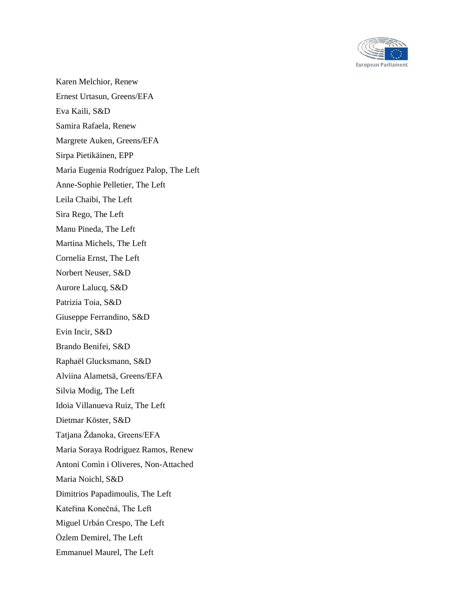

Karen Melchior, Renew Ernest Urtasun, Greens/EFA Eva Kaili, S&D Samira Rafaela, Renew Margrete Auken, Greens/EFA Sirpa Pietikäinen, EPP Marìa Eugenia Rodríguez Palop, The Left Anne-Sophie Pelletier, The Left Leila Chaibi, The Left Sira Rego, The Left Manu Pineda, The Left Martina Michels, The Left Cornelia Ernst, The Left Norbert Neuser, S&D Aurore Lalucq, S&D Patrizia Toia, S&D Giuseppe Ferrandino, S&D Evin Incir, S&D Brando Benifei, S&D Raphaël Glucksmann, S&D Alviina Alametsä, Greens/EFA Silvia Modig, The Left Idoia Villanueva Ruiz, The Left Dietmar Köster, S&D Tatjana Ždanoka, Greens/EFA Maria Soraya Rodrìguez Ramos, Renew Antoni Comìn i Oliveres, Non-Attached Maria Noichl, S&D Dimitrios Papadimoulis, The Left Kateřina Konečná, The Left Miguel Urbán Crespo, The Left Özlem Demirel, The Left Emmanuel Maurel, The Left